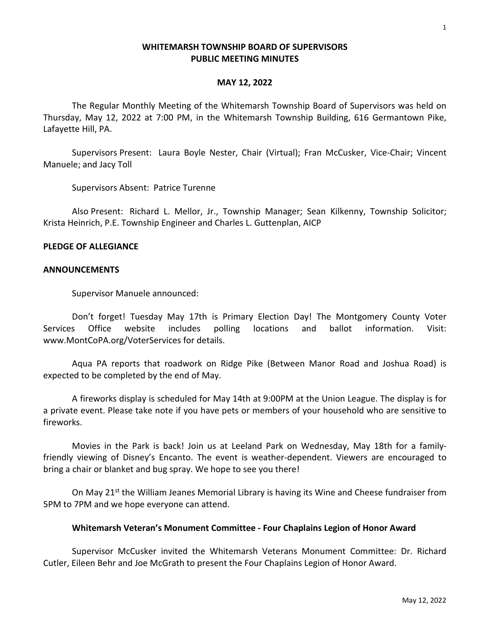### **WHITEMARSH TOWNSHIP BOARD OF SUPERVISORS PUBLIC MEETING MINUTES**

#### **MAY 12, 2022**

The Regular Monthly Meeting of the Whitemarsh Township Board of Supervisors was held on Thursday, May 12, 2022 at 7:00 PM, in the Whitemarsh Township Building, 616 Germantown Pike, Lafayette Hill, PA.

Supervisors Present: Laura Boyle Nester, Chair (Virtual); Fran McCusker, Vice-Chair; Vincent Manuele; and Jacy Toll

Supervisors Absent: Patrice Turenne

Also Present: Richard L. Mellor, Jr., Township Manager; Sean Kilkenny, Township Solicitor; Krista Heinrich, P.E. Township Engineer and Charles L. Guttenplan, AICP

#### **PLEDGE OF ALLEGIANCE**

#### **ANNOUNCEMENTS**

Supervisor Manuele announced:

Don't forget! Tuesday May 17th is Primary Election Day! The Montgomery County Voter Services Office website includes polling locations and ballot information. Visit: www.MontCoPA.org/VoterServices for details.

Aqua PA reports that roadwork on Ridge Pike (Between Manor Road and Joshua Road) is expected to be completed by the end of May.

A fireworks display is scheduled for May 14th at 9:00PM at the Union League. The display is for a private event. Please take note if you have pets or members of your household who are sensitive to fireworks.

Movies in the Park is back! Join us at Leeland Park on Wednesday, May 18th for a familyfriendly viewing of Disney's Encanto. The event is weather-dependent. Viewers are encouraged to bring a chair or blanket and bug spray. We hope to see you there!

On May 21<sup>st</sup> the William Jeanes Memorial Library is having its Wine and Cheese fundraiser from 5PM to 7PM and we hope everyone can attend.

### **Whitemarsh Veteran's Monument Committee - Four Chaplains Legion of Honor Award**

Supervisor McCusker invited the Whitemarsh Veterans Monument Committee: Dr. Richard Cutler, Eileen Behr and Joe McGrath to present the Four Chaplains Legion of Honor Award.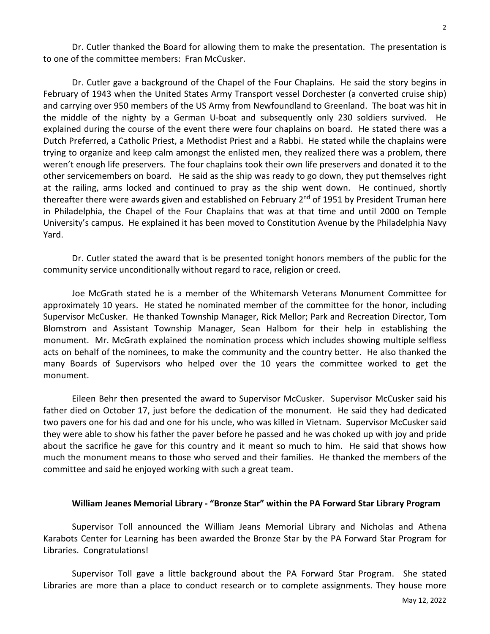Dr. Cutler thanked the Board for allowing them to make the presentation. The presentation is to one of the committee members: Fran McCusker.

Dr. Cutler gave a background of the Chapel of the Four Chaplains. He said the story begins in February of 1943 when the United States Army Transport vessel Dorchester (a converted cruise ship) and carrying over 950 members of the US Army from Newfoundland to Greenland. The boat was hit in the middle of the nighty by a German U-boat and subsequently only 230 soldiers survived. He explained during the course of the event there were four chaplains on board. He stated there was a Dutch Preferred, a Catholic Priest, a Methodist Priest and a Rabbi. He stated while the chaplains were trying to organize and keep calm amongst the enlisted men, they realized there was a problem, there weren't enough life preservers. The four chaplains took their own life preservers and donated it to the other servicemembers on board. He said as the ship was ready to go down, they put themselves right at the railing, arms locked and continued to pray as the ship went down. He continued, shortly thereafter there were awards given and established on February  $2<sup>nd</sup>$  of 1951 by President Truman here in Philadelphia, the Chapel of the Four Chaplains that was at that time and until 2000 on Temple University's campus. He explained it has been moved to Constitution Avenue by the Philadelphia Navy Yard.

Dr. Cutler stated the award that is be presented tonight honors members of the public for the community service unconditionally without regard to race, religion or creed.

Joe McGrath stated he is a member of the Whitemarsh Veterans Monument Committee for approximately 10 years. He stated he nominated member of the committee for the honor, including Supervisor McCusker. He thanked Township Manager, Rick Mellor; Park and Recreation Director, Tom Blomstrom and Assistant Township Manager, Sean Halbom for their help in establishing the monument. Mr. McGrath explained the nomination process which includes showing multiple selfless acts on behalf of the nominees, to make the community and the country better. He also thanked the many Boards of Supervisors who helped over the 10 years the committee worked to get the monument.

Eileen Behr then presented the award to Supervisor McCusker. Supervisor McCusker said his father died on October 17, just before the dedication of the monument. He said they had dedicated two pavers one for his dad and one for his uncle, who was killed in Vietnam. Supervisor McCusker said they were able to show his father the paver before he passed and he was choked up with joy and pride about the sacrifice he gave for this country and it meant so much to him. He said that shows how much the monument means to those who served and their families. He thanked the members of the committee and said he enjoyed working with such a great team.

#### **William Jeanes Memorial Library - "Bronze Star" within the PA Forward Star Library Program**

Supervisor Toll announced the William Jeans Memorial Library and Nicholas and Athena Karabots Center for Learning has been awarded the Bronze Star by the PA Forward Star Program for Libraries. Congratulations!

Supervisor Toll gave a little background about the PA Forward Star Program. She stated Libraries are more than a place to conduct research or to complete assignments. They house more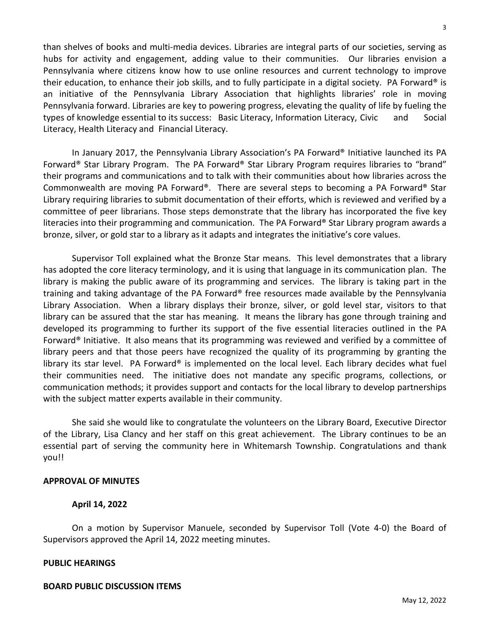hubs for activity and engagement, adding value to their communities. Our libraries envision a Pennsylvania where citizens know how to use online resources and current technology to improve their education, to enhance their job skills, and to fully participate in a digital society. PA Forward® is an initiative of the Pennsylvania Library Association that highlights libraries' role in moving Pennsylvania forward. Libraries are key to powering progress, elevating the quality of life by fueling the types of knowledge essential to its success: Basic Literacy, Information Literacy, Civic and Social Literacy, Health Literacy and Financial Literacy.

than shelves of books and multi-media devices. Libraries are integral parts of our societies, serving as

In January 2017, the Pennsylvania Library Association's PA Forward® Initiative launched its PA Forward® Star Library Program. The PA Forward® Star Library Program requires libraries to "brand" their programs and communications and to talk with their communities about how libraries across the Commonwealth are moving PA Forward®. There are several steps to becoming a PA Forward® Star Library requiring libraries to submit documentation of their efforts, which is reviewed and verified by a committee of peer librarians. Those steps demonstrate that the library has incorporated the five key literacies into their programming and communication. The PA Forward<sup>®</sup> Star Library program awards a bronze, silver, or gold star to a library as it adapts and integrates the initiative's core values.

Supervisor Toll explained what the Bronze Star means. This level demonstrates that a library has adopted the core literacy terminology, and it is using that language in its communication plan. The library is making the public aware of its programming and services. The library is taking part in the training and taking advantage of the PA Forward® free resources made available by the Pennsylvania Library Association. When a library displays their bronze, silver, or gold level star, visitors to that library can be assured that the star has meaning. It means the library has gone through training and developed its programming to further its support of the five essential literacies outlined in the PA Forward® Initiative. It also means that its programming was reviewed and verified by a committee of library peers and that those peers have recognized the quality of its programming by granting the library its star level. PA Forward® is implemented on the local level. Each library decides what fuel their communities need. The initiative does not mandate any specific programs, collections, or communication methods; it provides support and contacts for the local library to develop partnerships with the subject matter experts available in their community.

She said she would like to congratulate the volunteers on the Library Board, Executive Director of the Library, Lisa Clancy and her staff on this great achievement. The Library continues to be an essential part of serving the community here in Whitemarsh Township. Congratulations and thank you!!

#### **APPROVAL OF MINUTES**

### **April 14, 2022**

On a motion by Supervisor Manuele, seconded by Supervisor Toll (Vote 4-0) the Board of Supervisors approved the April 14, 2022 meeting minutes.

### **PUBLIC HEARINGS**

# **BOARD PUBLIC DISCUSSION ITEMS**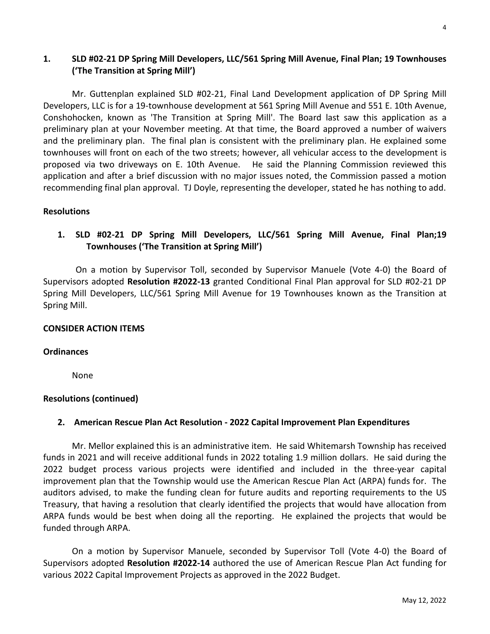# **1. SLD #02-21 DP Spring Mill Developers, LLC/561 Spring Mill Avenue, Final Plan; 19 Townhouses ('The Transition at Spring Mill')**

Mr. Guttenplan explained SLD #02-21, Final Land Development application of DP Spring Mill Developers, LLC is for a 19-townhouse development at 561 Spring Mill Avenue and 551 E. 10th Avenue, Conshohocken, known as 'The Transition at Spring Mill'. The Board last saw this application as a preliminary plan at your November meeting. At that time, the Board approved a number of waivers and the preliminary plan. The final plan is consistent with the preliminary plan. He explained some townhouses will front on each of the two streets; however, all vehicular access to the development is proposed via two driveways on E. 10th Avenue. He said the Planning Commission reviewed this application and after a brief discussion with no major issues noted, the Commission passed a motion recommending final plan approval. TJ Doyle, representing the developer, stated he has nothing to add.

### **Resolutions**

# **1. SLD #02-21 DP Spring Mill Developers, LLC/561 Spring Mill Avenue, Final Plan;19 Townhouses ('The Transition at Spring Mill')**

On a motion by Supervisor Toll, seconded by Supervisor Manuele (Vote 4-0) the Board of Supervisors adopted **Resolution #2022-13** granted Conditional Final Plan approval for SLD #02-21 DP Spring Mill Developers, LLC/561 Spring Mill Avenue for 19 Townhouses known as the Transition at Spring Mill.

### **CONSIDER ACTION ITEMS**

### **Ordinances**

None

# **Resolutions (continued)**

# **2. American Rescue Plan Act Resolution - 2022 Capital Improvement Plan Expenditures**

Mr. Mellor explained this is an administrative item. He said Whitemarsh Township has received funds in 2021 and will receive additional funds in 2022 totaling 1.9 million dollars. He said during the 2022 budget process various projects were identified and included in the three-year capital improvement plan that the Township would use the American Rescue Plan Act (ARPA) funds for. The auditors advised, to make the funding clean for future audits and reporting requirements to the US Treasury, that having a resolution that clearly identified the projects that would have allocation from ARPA funds would be best when doing all the reporting. He explained the projects that would be funded through ARPA.

On a motion by Supervisor Manuele, seconded by Supervisor Toll (Vote 4-0) the Board of Supervisors adopted **Resolution #2022-14** authored the use of American Rescue Plan Act funding for various 2022 Capital Improvement Projects as approved in the 2022 Budget.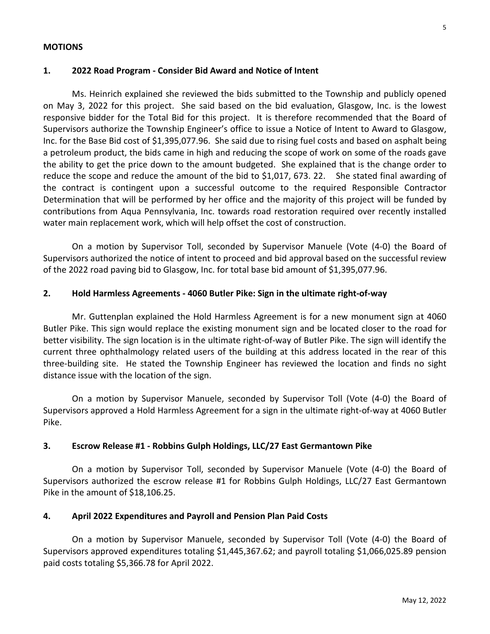#### **MOTIONS**

### **1. 2022 Road Program - Consider Bid Award and Notice of Intent**

Ms. Heinrich explained she reviewed the bids submitted to the Township and publicly opened on May 3, 2022 for this project. She said based on the bid evaluation, Glasgow, Inc. is the lowest responsive bidder for the Total Bid for this project. It is therefore recommended that the Board of Supervisors authorize the Township Engineer's office to issue a Notice of Intent to Award to Glasgow, Inc. for the Base Bid cost of \$1,395,077.96. She said due to rising fuel costs and based on asphalt being a petroleum product, the bids came in high and reducing the scope of work on some of the roads gave the ability to get the price down to the amount budgeted. She explained that is the change order to reduce the scope and reduce the amount of the bid to \$1,017, 673. 22. She stated final awarding of the contract is contingent upon a successful outcome to the required Responsible Contractor Determination that will be performed by her office and the majority of this project will be funded by contributions from Aqua Pennsylvania, Inc. towards road restoration required over recently installed water main replacement work, which will help offset the cost of construction.

On a motion by Supervisor Toll, seconded by Supervisor Manuele (Vote (4-0) the Board of Supervisors authorized the notice of intent to proceed and bid approval based on the successful review of the 2022 road paving bid to Glasgow, Inc. for total base bid amount of \$1,395,077.96.

### **2. Hold Harmless Agreements - 4060 Butler Pike: Sign in the ultimate right-of-way**

Mr. Guttenplan explained the Hold Harmless Agreement is for a new monument sign at 4060 Butler Pike. This sign would replace the existing monument sign and be located closer to the road for better visibility. The sign location is in the ultimate right-of-way of Butler Pike. The sign will identify the current three ophthalmology related users of the building at this address located in the rear of this three-building site. He stated the Township Engineer has reviewed the location and finds no sight distance issue with the location of the sign.

On a motion by Supervisor Manuele, seconded by Supervisor Toll (Vote (4-0) the Board of Supervisors approved a Hold Harmless Agreement for a sign in the ultimate right-of-way at 4060 Butler Pike.

### **3. Escrow Release #1 - Robbins Gulph Holdings, LLC/27 East Germantown Pike**

On a motion by Supervisor Toll, seconded by Supervisor Manuele (Vote (4-0) the Board of Supervisors authorized the escrow release #1 for Robbins Gulph Holdings, LLC/27 East Germantown Pike in the amount of \$18,106.25.

### **4. April 2022 Expenditures and Payroll and Pension Plan Paid Costs**

On a motion by Supervisor Manuele, seconded by Supervisor Toll (Vote (4-0) the Board of Supervisors approved expenditures totaling \$1,445,367.62; and payroll totaling \$1,066,025.89 pension paid costs totaling \$5,366.78 for April 2022.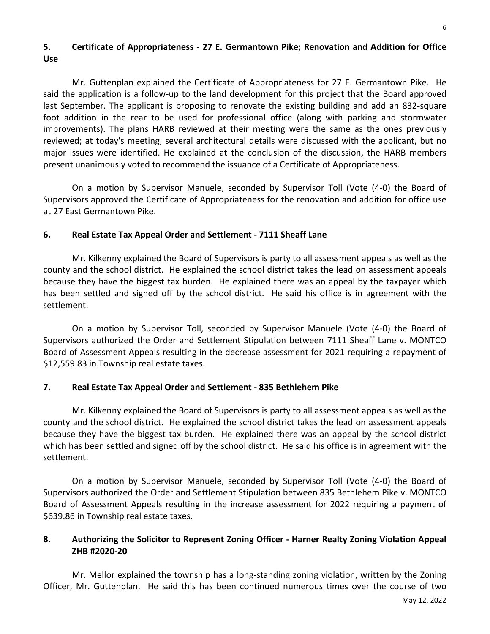# **5. Certificate of Appropriateness - 27 E. Germantown Pike; Renovation and Addition for Office Use**

Mr. Guttenplan explained the Certificate of Appropriateness for 27 E. Germantown Pike. He said the application is a follow-up to the land development for this project that the Board approved last September. The applicant is proposing to renovate the existing building and add an 832-square foot addition in the rear to be used for professional office (along with parking and stormwater improvements). The plans HARB reviewed at their meeting were the same as the ones previously reviewed; at today's meeting, several architectural details were discussed with the applicant, but no major issues were identified. He explained at the conclusion of the discussion, the HARB members present unanimously voted to recommend the issuance of a Certificate of Appropriateness.

On a motion by Supervisor Manuele, seconded by Supervisor Toll (Vote (4-0) the Board of Supervisors approved the Certificate of Appropriateness for the renovation and addition for office use at 27 East Germantown Pike.

# **6. Real Estate Tax Appeal Order and Settlement - 7111 Sheaff Lane**

Mr. Kilkenny explained the Board of Supervisors is party to all assessment appeals as well as the county and the school district. He explained the school district takes the lead on assessment appeals because they have the biggest tax burden. He explained there was an appeal by the taxpayer which has been settled and signed off by the school district. He said his office is in agreement with the settlement.

On a motion by Supervisor Toll, seconded by Supervisor Manuele (Vote (4-0) the Board of Supervisors authorized the Order and Settlement Stipulation between 7111 Sheaff Lane v. MONTCO Board of Assessment Appeals resulting in the decrease assessment for 2021 requiring a repayment of \$12,559.83 in Township real estate taxes.

# **7. Real Estate Tax Appeal Order and Settlement - 835 Bethlehem Pike**

Mr. Kilkenny explained the Board of Supervisors is party to all assessment appeals as well as the county and the school district. He explained the school district takes the lead on assessment appeals because they have the biggest tax burden. He explained there was an appeal by the school district which has been settled and signed off by the school district. He said his office is in agreement with the settlement.

On a motion by Supervisor Manuele, seconded by Supervisor Toll (Vote (4-0) the Board of Supervisors authorized the Order and Settlement Stipulation between 835 Bethlehem Pike v. MONTCO Board of Assessment Appeals resulting in the increase assessment for 2022 requiring a payment of \$639.86 in Township real estate taxes.

# **8. Authorizing the Solicitor to Represent Zoning Officer - Harner Realty Zoning Violation Appeal ZHB #2020-20**

Mr. Mellor explained the township has a long-standing zoning violation, written by the Zoning Officer, Mr. Guttenplan. He said this has been continued numerous times over the course of two